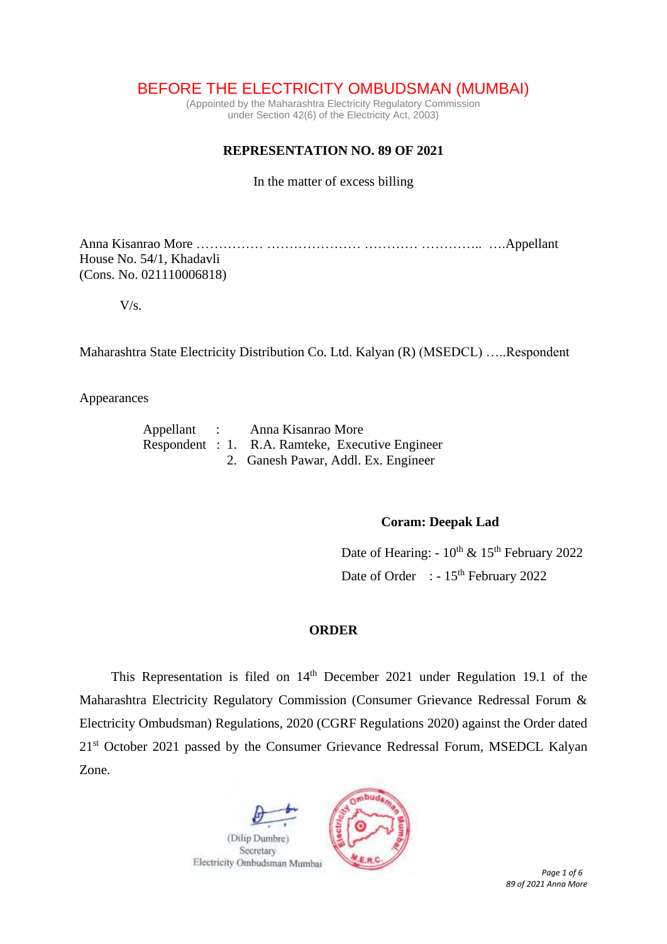# BEFORE THE ELECTRICITY OMBUDSMAN (MUMBAI)

(Appointed by the Maharashtra Electricity Regulatory Commission under Section 42(6) of the Electricity Act, 2003)

## **REPRESENTATION NO. 89 OF 2021**

In the matter of excess billing

Anna Kisanrao More …………… ………………… ………… ………….. ….Appellant House No. 54/1, Khadavli (Cons. No. 021110006818)

V/s.

Maharashtra State Electricity Distribution Co. Ltd. Kalyan (R) (MSEDCL) …..Respondent

Appearances

|  | Appellant : Anna Kisanrao More                   |
|--|--------------------------------------------------|
|  | Respondent : 1. R.A. Ramteke, Executive Engineer |
|  | 2. Ganesh Pawar, Addl. Ex. Engineer              |

### **Coram: Deepak Lad**

Date of Hearing:  $-10^{th}$  &  $15^{th}$  February 2022 Date of Order : - 15<sup>th</sup> February 2022

#### **ORDER**

This Representation is filed on  $14<sup>th</sup>$  December 2021 under Regulation 19.1 of the Maharashtra Electricity Regulatory Commission (Consumer Grievance Redressal Forum & Electricity Ombudsman) Regulations, 2020 (CGRF Regulations 2020) against the Order dated 21<sup>st</sup> October 2021 passed by the Consumer Grievance Redressal Forum, MSEDCL Kalyan Zone.

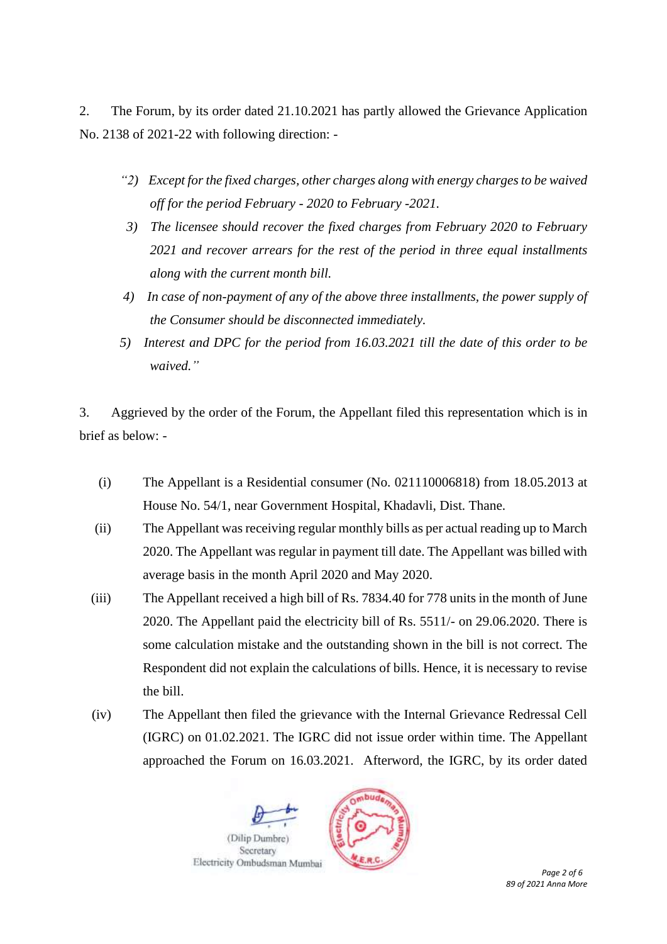2. The Forum, by its order dated 21.10.2021 has partly allowed the Grievance Application No. 2138 of 2021-22 with following direction: -

- *"2) Except for the fixed charges, other charges along with energy charges to be waived off for the period February - 2020 to February -2021.*
- *3) The licensee should recover the fixed charges from February 2020 to February 2021 and recover arrears for the rest of the period in three equal installments along with the current month bill.*
- *4) In case of non-payment of any of the above three installments, the power supply of the Consumer should be disconnected immediately.*
- *5) Interest and DPC for the period from 16.03.2021 till the date of this order to be waived."*

3. Aggrieved by the order of the Forum, the Appellant filed this representation which is in brief as below: -

- (i) The Appellant is a Residential consumer (No. 021110006818) from 18.05.2013 at House No. 54/1, near Government Hospital, Khadavli, Dist. Thane.
- (ii) The Appellant was receiving regular monthly bills as per actual reading up to March 2020. The Appellant was regular in payment till date. The Appellant was billed with average basis in the month April 2020 and May 2020.
- (iii) The Appellant received a high bill of Rs. 7834.40 for 778 units in the month of June 2020. The Appellant paid the electricity bill of Rs. 5511/- on 29.06.2020. There is some calculation mistake and the outstanding shown in the bill is not correct. The Respondent did not explain the calculations of bills. Hence, it is necessary to revise the bill.
- (iv) The Appellant then filed the grievance with the Internal Grievance Redressal Cell (IGRC) on 01.02.2021. The IGRC did not issue order within time. The Appellant approached the Forum on 16.03.2021. Afterword, the IGRC, by its order dated

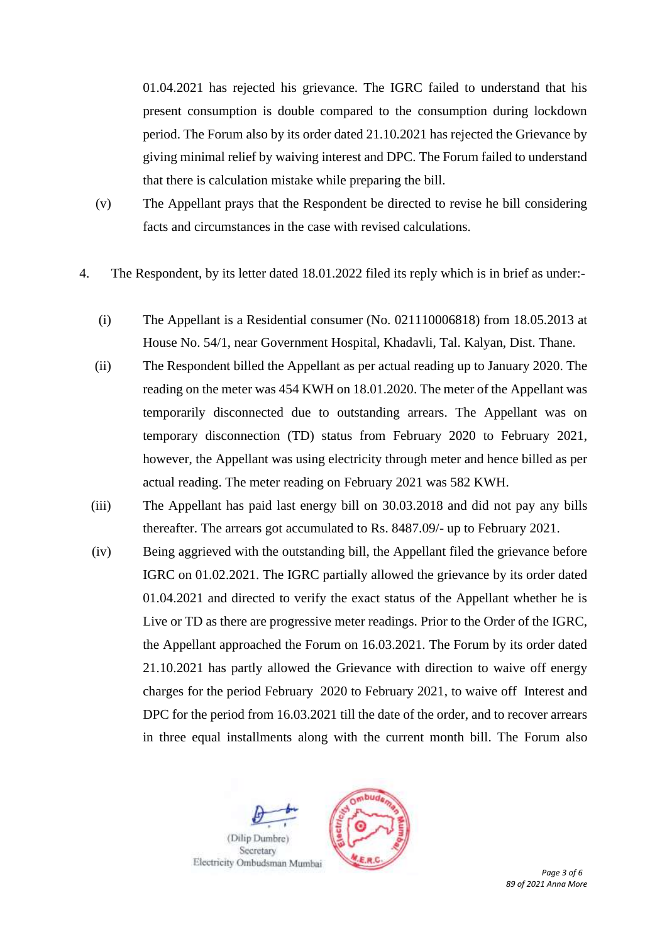01.04.2021 has rejected his grievance. The IGRC failed to understand that his present consumption is double compared to the consumption during lockdown period. The Forum also by its order dated 21.10.2021 has rejected the Grievance by giving minimal relief by waiving interest and DPC. The Forum failed to understand that there is calculation mistake while preparing the bill.

- (v) The Appellant prays that the Respondent be directed to revise he bill considering facts and circumstances in the case with revised calculations.
- 4. The Respondent, by its letter dated 18.01.2022 filed its reply which is in brief as under:-
	- (i) The Appellant is a Residential consumer (No. 021110006818) from 18.05.2013 at House No. 54/1, near Government Hospital, Khadavli, Tal. Kalyan, Dist. Thane.
	- (ii) The Respondent billed the Appellant as per actual reading up to January 2020. The reading on the meter was 454 KWH on 18.01.2020. The meter of the Appellant was temporarily disconnected due to outstanding arrears. The Appellant was on temporary disconnection (TD) status from February 2020 to February 2021, however, the Appellant was using electricity through meter and hence billed as per actual reading. The meter reading on February 2021 was 582 KWH.
	- (iii) The Appellant has paid last energy bill on 30.03.2018 and did not pay any bills thereafter. The arrears got accumulated to Rs. 8487.09/- up to February 2021.
	- (iv) Being aggrieved with the outstanding bill, the Appellant filed the grievance before IGRC on 01.02.2021. The IGRC partially allowed the grievance by its order dated 01.04.2021 and directed to verify the exact status of the Appellant whether he is Live or TD as there are progressive meter readings. Prior to the Order of the IGRC, the Appellant approached the Forum on 16.03.2021. The Forum by its order dated 21.10.2021 has partly allowed the Grievance with direction to waive off energy charges for the period February 2020 to February 2021, to waive off Interest and DPC for the period from 16.03.2021 till the date of the order, and to recover arrears in three equal installments along with the current month bill. The Forum also

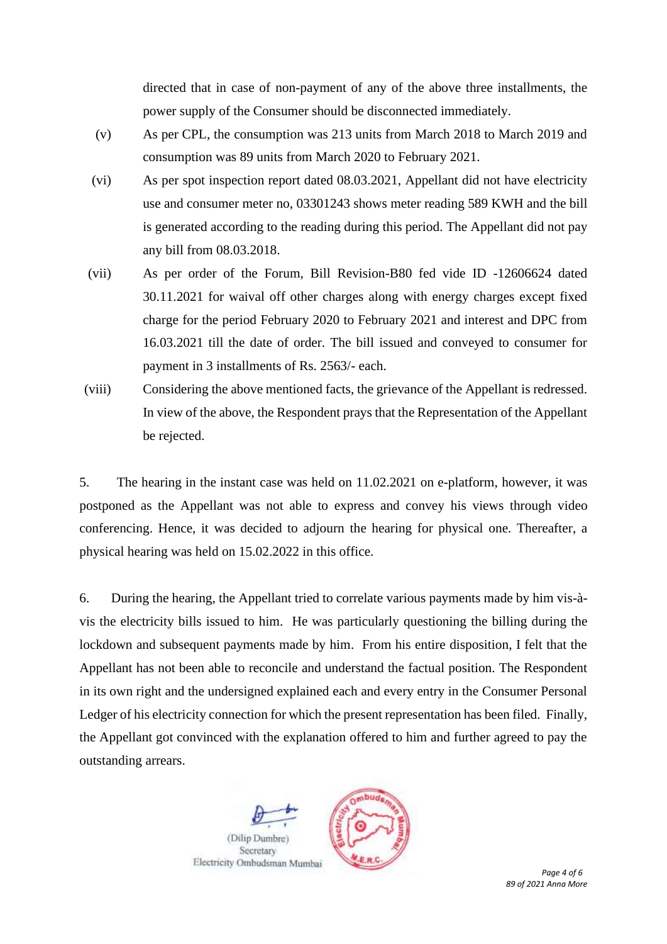directed that in case of non-payment of any of the above three installments, the power supply of the Consumer should be disconnected immediately.

- (v) As per CPL, the consumption was 213 units from March 2018 to March 2019 and consumption was 89 units from March 2020 to February 2021.
- (vi) As per spot inspection report dated 08.03.2021, Appellant did not have electricity use and consumer meter no, 03301243 shows meter reading 589 KWH and the bill is generated according to the reading during this period. The Appellant did not pay any bill from 08.03.2018.
- (vii) As per order of the Forum, Bill Revision-B80 fed vide ID -12606624 dated 30.11.2021 for waival off other charges along with energy charges except fixed charge for the period February 2020 to February 2021 and interest and DPC from 16.03.2021 till the date of order. The bill issued and conveyed to consumer for payment in 3 installments of Rs. 2563/- each.
- (viii) Considering the above mentioned facts, the grievance of the Appellant is redressed. In view of the above, the Respondent prays that the Representation of the Appellant be rejected.

5. The hearing in the instant case was held on 11.02.2021 on e-platform, however, it was postponed as the Appellant was not able to express and convey his views through video conferencing. Hence, it was decided to adjourn the hearing for physical one. Thereafter, a physical hearing was held on 15.02.2022 in this office.

6. During the hearing, the Appellant tried to correlate various payments made by him vis-àvis the electricity bills issued to him. He was particularly questioning the billing during the lockdown and subsequent payments made by him. From his entire disposition, I felt that the Appellant has not been able to reconcile and understand the factual position. The Respondent in its own right and the undersigned explained each and every entry in the Consumer Personal Ledger of his electricity connection for which the present representation has been filed. Finally, the Appellant got convinced with the explanation offered to him and further agreed to pay the outstanding arrears.

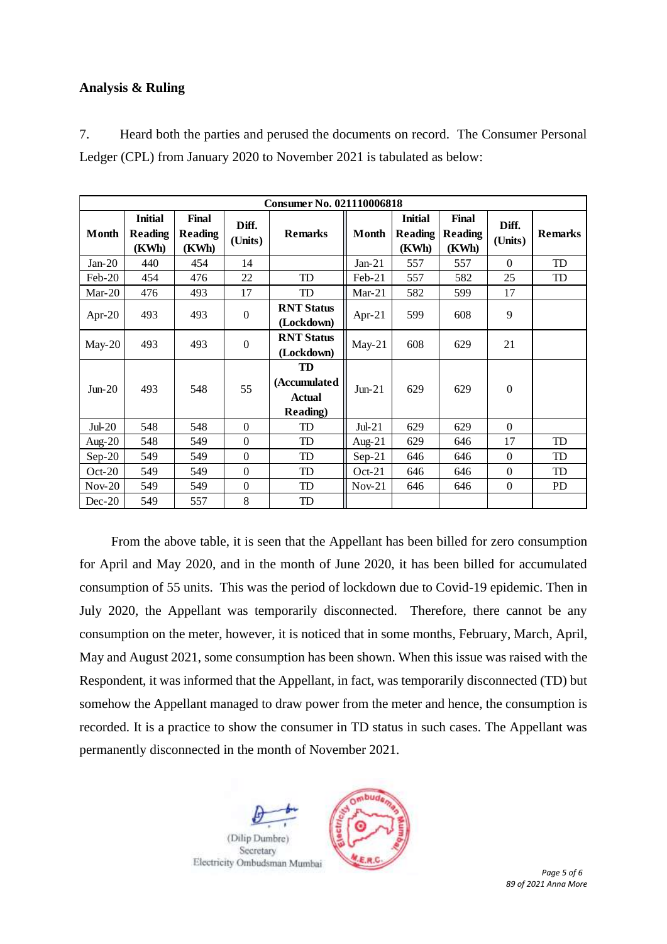## **Analysis & Ruling**

7. Heard both the parties and perused the documents on record. The Consumer Personal Ledger (CPL) from January 2020 to November 2021 is tabulated as below:

| Consumer No. 021110006818 |                                           |                                  |                  |                                                         |           |                                           |                                  |                  |                |  |  |  |
|---------------------------|-------------------------------------------|----------------------------------|------------------|---------------------------------------------------------|-----------|-------------------------------------------|----------------------------------|------------------|----------------|--|--|--|
| Month                     | <b>Initial</b><br><b>Reading</b><br>(KWh) | Final<br><b>Reading</b><br>(KWh) | Diff.<br>(Units) | <b>Remarks</b>                                          | Month     | <b>Initial</b><br><b>Reading</b><br>(KWh) | Final<br><b>Reading</b><br>(KWh) | Diff.<br>(Units) | <b>Remarks</b> |  |  |  |
| $Jan-20$                  | 440                                       | 454                              | 14               |                                                         | $Jan-21$  | 557                                       | 557                              | $\Omega$         | TD             |  |  |  |
| $Feb-20$                  | 454                                       | 476                              | 22               | TD                                                      | $Feb-21$  | 557                                       | 582                              | 25               | TD             |  |  |  |
| $Mar-20$                  | 476                                       | 493                              | 17               | TD                                                      | $Mar-21$  | 582                                       | 599                              | 17               |                |  |  |  |
| Apr-20                    | 493                                       | 493                              | $\Omega$         | <b>RNT Status</b><br>(Lockdown)                         | Apr-21    | 599                                       | 608                              | 9                |                |  |  |  |
| $May-20$                  | 493                                       | 493                              | $\overline{0}$   | <b>RNT Status</b><br>(Lockdown)                         | $May-21$  | 608                                       | 629                              | 21               |                |  |  |  |
| $Jun-20$                  | 493                                       | 548                              | 55               | TD<br>(Accumulated<br><b>Actual</b><br><b>Reading</b> ) | $Jun-21$  | 629                                       | 629                              | $\theta$         |                |  |  |  |
| $Jul-20$                  | 548                                       | 548                              | $\overline{0}$   | TD                                                      | $Jul-21$  | 629                                       | 629                              | $\Omega$         |                |  |  |  |
| Aug- $20$                 | 548                                       | 549                              | $\Omega$         | TD                                                      | Aug- $21$ | 629                                       | 646                              | 17               | TD             |  |  |  |
| $Sep-20$                  | 549                                       | 549                              | $\theta$         | TD                                                      | $Sep-21$  | 646                                       | 646                              | $\Omega$         | TD             |  |  |  |
| $Oct-20$                  | 549                                       | 549                              | $\theta$         | TD                                                      | $Oct-21$  | 646                                       | 646                              | $\Omega$         | TD             |  |  |  |
| $Nov-20$                  | 549                                       | 549                              | $\mathbf{0}$     | TD                                                      | $Nov-21$  | 646                                       | 646                              | $\overline{0}$   | <b>PD</b>      |  |  |  |
| $Dec-20$                  | 549                                       | 557                              | 8                | <b>TD</b>                                               |           |                                           |                                  |                  |                |  |  |  |

From the above table, it is seen that the Appellant has been billed for zero consumption for April and May 2020, and in the month of June 2020, it has been billed for accumulated consumption of 55 units. This was the period of lockdown due to Covid-19 epidemic. Then in July 2020, the Appellant was temporarily disconnected. Therefore, there cannot be any consumption on the meter, however, it is noticed that in some months, February, March, April, May and August 2021, some consumption has been shown. When this issue was raised with the Respondent, it was informed that the Appellant, in fact, was temporarily disconnected (TD) but somehow the Appellant managed to draw power from the meter and hence, the consumption is recorded. It is a practice to show the consumer in TD status in such cases. The Appellant was permanently disconnected in the month of November 2021.